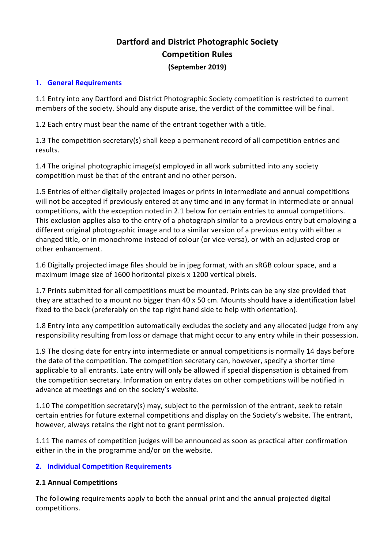# **Dartford and District Photographic Society Competition Rules (September 2019)**

#### **1. General Requirements**

1.1 Entry into any Dartford and District Photographic Society competition is restricted to current members of the society. Should any dispute arise, the verdict of the committee will be final.

1.2 Each entry must bear the name of the entrant together with a title.

1.3 The competition secretary(s) shall keep a permanent record of all competition entries and results.

1.4 The original photographic image(s) employed in all work submitted into any society competition must be that of the entrant and no other person.

1.5 Entries of either digitally projected images or prints in intermediate and annual competitions will not be accepted if previously entered at any time and in any format in intermediate or annual competitions, with the exception noted in 2.1 below for certain entries to annual competitions. This exclusion applies also to the entry of a photograph similar to a previous entry but employing a different original photographic image and to a similar version of a previous entry with either a changed title, or in monochrome instead of colour (or vice-versa), or with an adjusted crop or other enhancement.

1.6 Digitally projected image files should be in jpeg format, with an sRGB colour space, and a maximum image size of 1600 horizontal pixels x 1200 vertical pixels.

1.7 Prints submitted for all competitions must be mounted. Prints can be any size provided that they are attached to a mount no bigger than 40 x 50 cm. Mounts should have a identification label fixed to the back (preferably on the top right hand side to help with orientation).

1.8 Entry into any competition automatically excludes the society and any allocated judge from any responsibility resulting from loss or damage that might occur to any entry while in their possession.

1.9 The closing date for entry into intermediate or annual competitions is normally 14 days before the date of the competition. The competition secretary can, however, specify a shorter time applicable to all entrants. Late entry will only be allowed if special dispensation is obtained from the competition secretary. Information on entry dates on other competitions will be notified in advance at meetings and on the society's website.

1.10 The competition secretary(s) may, subject to the permission of the entrant, seek to retain certain entries for future external competitions and display on the Society's website. The entrant, however, always retains the right not to grant permission.

1.11 The names of competition judges will be announced as soon as practical after confirmation either in the in the programme and/or on the website.

### **2. Individual Competition Requirements**

### **2.1 Annual Competitions**

The following requirements apply to both the annual print and the annual projected digital competitions.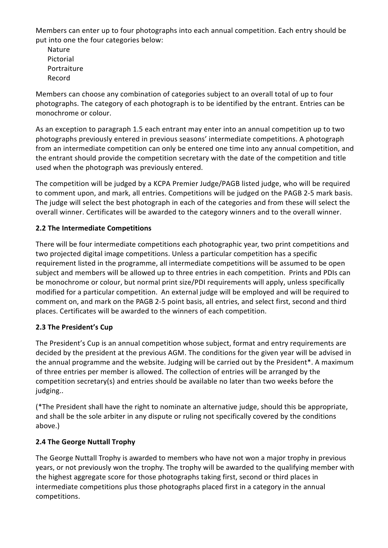Members can enter up to four photographs into each annual competition. Each entry should be put into one the four categories below:

Nature Pictorial Portraiture Record

Members can choose any combination of categories subject to an overall total of up to four photographs. The category of each photograph is to be identified by the entrant. Entries can be monochrome or colour.

As an exception to paragraph 1.5 each entrant may enter into an annual competition up to two photographs previously entered in previous seasons' intermediate competitions. A photograph from an intermediate competition can only be entered one time into any annual competition, and the entrant should provide the competition secretary with the date of the competition and title used when the photograph was previously entered.

The competition will be judged by a KCPA Premier Judge/PAGB listed judge, who will be required to comment upon, and mark, all entries. Competitions will be judged on the PAGB 2-5 mark basis. The judge will select the best photograph in each of the categories and from these will select the overall winner. Certificates will be awarded to the category winners and to the overall winner.

# **2.2 The Intermediate Competitions**

There will be four intermediate competitions each photographic year, two print competitions and two projected digital image competitions. Unless a particular competition has a specific requirement listed in the programme, all intermediate competitions will be assumed to be open subject and members will be allowed up to three entries in each competition. Prints and PDIs can be monochrome or colour, but normal print size/PDI requirements will apply, unless specifically modified for a particular competition. An external judge will be employed and will be required to comment on, and mark on the PAGB 2-5 point basis, all entries, and select first, second and third places. Certificates will be awarded to the winners of each competition.

### **2.3 The President's Cup**

The President's Cup is an annual competition whose subject, format and entry requirements are decided by the president at the previous AGM. The conditions for the given year will be advised in the annual programme and the website. Judging will be carried out by the President\*. A maximum of three entries per member is allowed. The collection of entries will be arranged by the competition secretary(s) and entries should be available no later than two weeks before the judging..

(\*The President shall have the right to nominate an alternative judge, should this be appropriate, and shall be the sole arbiter in any dispute or ruling not specifically covered by the conditions above.)

### **2.4 The George Nuttall Trophy**

The George Nuttall Trophy is awarded to members who have not won a major trophy in previous years, or not previously won the trophy. The trophy will be awarded to the qualifying member with the highest aggregate score for those photographs taking first, second or third places in intermediate competitions plus those photographs placed first in a category in the annual competitions.